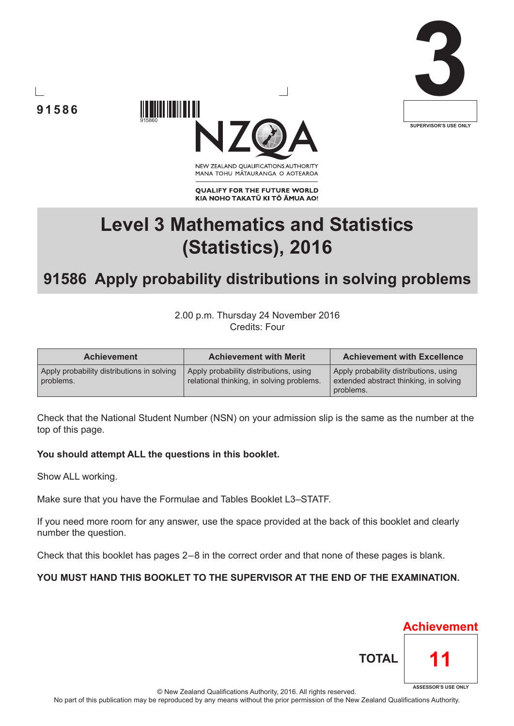





NEW ZEALAND OUALIFICATIONS AUTHORITY MANA TOHU MĀTAURANGA O AOTEAROA

**QUALIFY FOR THE FUTURE WORLD** KIA NOHO TAKATŪ KI TŌ ĀMUA AO!

# **Level 3 Mathematics and Statistics (Statistics), 2016**

## **91586 Apply probability distributions in solving problems**

2.00 p.m. Thursday 24 November 2016 Credits: Four

| <b>Achievement</b>                                      | <b>Achievement with Merit</b>                                                       | <b>Achievement with Excellence</b>                                                            |
|---------------------------------------------------------|-------------------------------------------------------------------------------------|-----------------------------------------------------------------------------------------------|
| Apply probability distributions in solving<br>problems. | Apply probability distributions, using<br>relational thinking, in solving problems. | Apply probability distributions, using<br>extended abstract thinking, in solving<br>problems. |

Check that the National Student Number (NSN) on your admission slip is the same as the number at the top of this page.

#### **You should attempt ALL the questions in this booklet.**

Show ALL working.

Make sure that you have the Formulae and Tables Booklet L3–STATF.

If you need more room for any answer, use the space provided at the back of this booklet and clearly number the question.

Check that this booklet has pages 2 – 8 in the correct order and that none of these pages is blank.

#### **YOU MUST HAND THIS BOOKLET TO THE SUPERVISOR AT THE END OF THE EXAMINATION.**



© New Zealand Qualifications Authority, 2016. All rights reserved.

No part of this publication may be reproduced by any means without the prior permission of the New Zealand Qualifications Authority.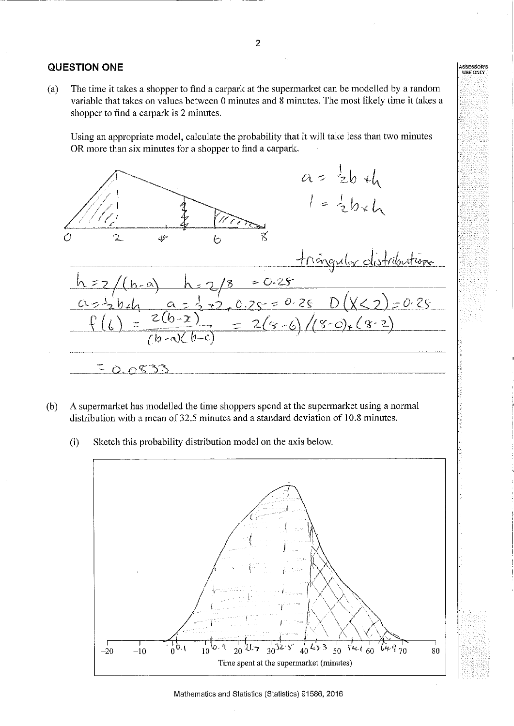#### **QUESTION ONE**

The time it takes a shopper to find a carpark at the supermarket can be modelled by a random  $(a)$ variable that takes on values between 0 minutes and 8 minutes. The most likely time it takes a shopper to find a carpark is 2 minutes.

Using an appropriate model, calculate the probability that it will take less than two minutes OR more than six minutes for a shopper to find a carpark.



- A supermarket has modelled the time shoppers spend at the supermarket using a normal  $(b)$ distribution with a mean of 32.5 minutes and a standard deviation of 10.8 minutes.
	- Sketch this probability distribution model on the axis below.  $(i)$

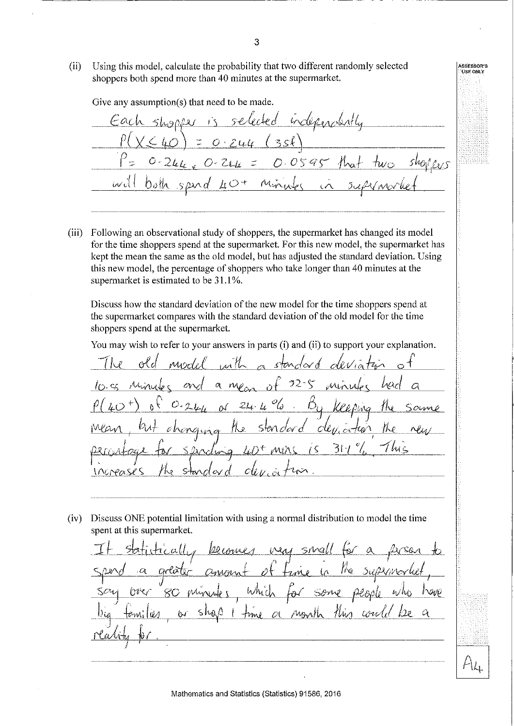$(ii)$ Using this model, calculate the probability that two different randomly selected shoppers both spend more than 40 minutes at the supermarket.

Give any assumption(s) that need to be made. independently C  $0595$  $\mathcal{D}$ . ivil りっけ

(iii) Following an observational study of shoppers, the supermarket has changed its model for the time shoppers spend at the supermarket. For this new model, the supermarket has kept the mean the same as the old model, but has adjusted the standard deviation. Using this new model, the percentage of shoppers who take longer than 40 minutes at the supermarket is estimated to be 31.1%.

Discuss how the standard deviation of the new model for the time shoppers spend at the supermarket compares with the standard deviation of the old model for the time shoppers spend at the supermarket.

You may wish to refer to your answers in parts (i) and (ii) to support your explanation.

inth Miscl*il*l standord -32  $\alpha$  $mv<sub>1</sub>$  $\sim$  $\mathscr{O}_{\mathbb{Q}}$ Ď,  $24L$ Keeping sten dar d  $clu$ , or Hô∧ ζ St<u>ar</u> *WOPO* 

(iv) Discuss ONE potential limitation with using a normal distribution to model the time spent at this supermarket.

MM  $51$  $\sqrt{2}$ call.  $\mathcal{W}_{\mathbb{Q}_n}$ Suptin pendo  $h/h_0$ 000 كهبر hin could Mont  $\varnothing$ hm d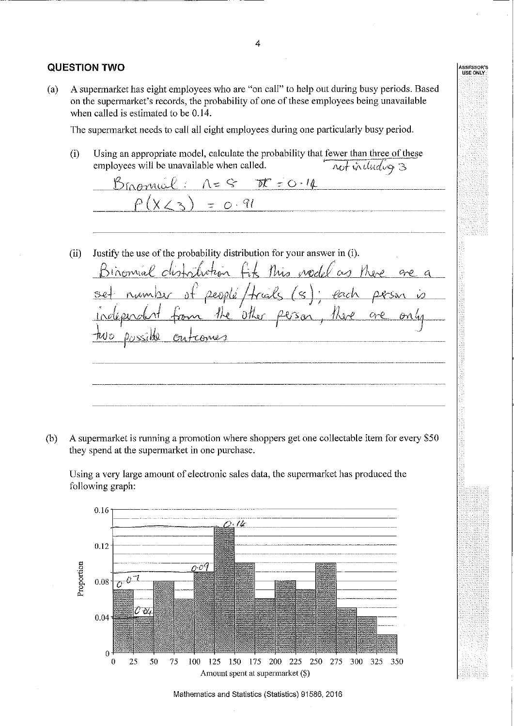#### **QUESTION TWO**

A supermarket has eight employees who are "on call" to help out during busy periods. Based  $(a)$ on the supermarket's records, the probability of one of these employees being unavailable when called is estimated to be 0.14.

The supermarket needs to call all eight employees during one particularly busy period.

Using an appropriate model, calculate the probability that fewer than three of these  $(i)$ not including 3 employees will be unavailable when called.

Brommal: n= 8 DE=0.14  $= 0.91$  $(ii)$ Justify the use of the probability distribution for your answer in (i). Gt this node Istião  $inoma\ell$  $H_3$  $\alpha$  $ac$  $\propto$ Qeosté  $+\infty$ l <u>-San</u> 0ther

A supermarket is running a promotion where shoppers get one collectable item for every \$50  $(b)$ they spend at the supermarket in one purchase.

Using a very large amount of electronic sales data, the supermarket has produced the following graph:



Mathematics and Statistics (Statistics) 91586, 2016

4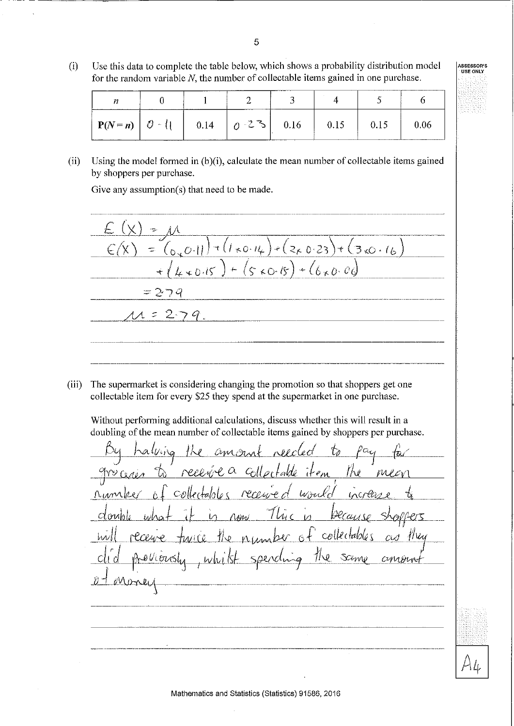Use this data to complete the table below, which shows a probability distribution model  $(i)$ for the random variable  $N$ , the number of collectable items gained in one purchase.

| v,                      |              |                             |  |  |
|-------------------------|--------------|-----------------------------|--|--|
| $ P(N=n)  \partial (1)$ | $\vert$ 0.14 | $10^{-2}$ $\sqrt{5}$   0.16 |  |  |

Using the model formed in (b)(i), calculate the mean number of collectable items gained  $(ii)$ by shoppers per purchase.

Give any assumption(s) that need to be made.

Ł.  $\frac{1}{2}$  $(3.0 - 16)$  $2\times 0.23$  $\frac{1}{2}$ €  $\overline{\mathcal{L}}$  .  $\star$  0.11  $\hat{\varsigma}$  $*0.15$  $*(6 \times 0.06)$  $20.15$  $=279$  $= 2.79$ 

The supermarket is considering changing the promotion so that shoppers get one  $(iii)$ collectable item for every \$25 they spend at the supermarket in one purchase.

Without performing additional calculations, discuss whether this will result in a doubling of the mean number of collectable items gained by shoppers per purchase.

Faldê Megn collectables CU Samo  $8\nu$  $CUVUH$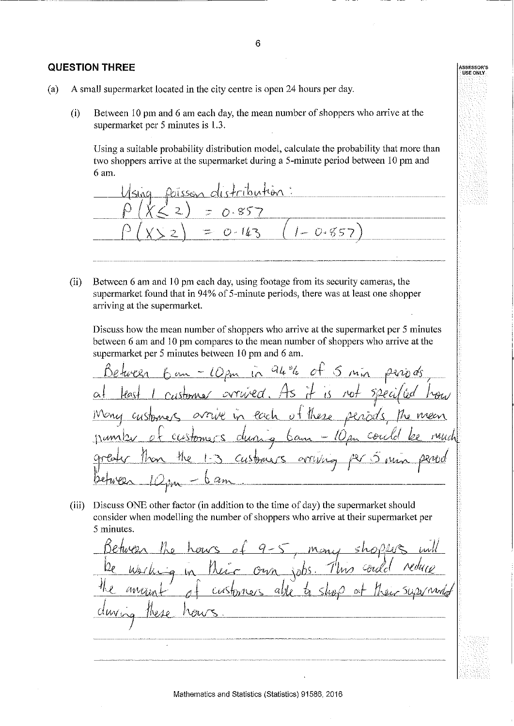#### **QUESTION THREE**

- $(a)$ A small supermarket located in the city centre is open 24 hours per day.
	- Between 10 pm and 6 am each day, the mean number of shoppers who arrive at the  $(i)$ supermarket per 5 minutes is 1.3.

Using a suitable probability distribution model, calculate the probability that more than two shoppers arrive at the supermarket during a 5-minute period between 10 pm and 6 am.

ibution: Poisson  $\overline{2}$ 0.85  $1 - 0.85$  $0 - 163$ Ż,

 $(ii)$ Between 6 am and 10 pm each day, using footage from its security cameras, the supermarket found that in 94% of 5-minute periods, there was at least one shopper arriving at the supermarket.

Discuss how the mean number of shoppers who arrive at the supermarket per 5 minutes between 6 am and 10 pm compares to the mean number of shoppers who arrive at the supermarket per 5 minutes between 10 pm and 6 am.

 $94\%$  of 5 mm Castonice lach  $b$ ang Customers orryng

(iii) Discuss ONE other factor (in addition to the time of day) the supermarket should consider when modelling the number of shoppers who arrive at their supermarket per 5 minutes.

 $\Delta \Delta$  $Cov<sub>A</sub>$ able to  $\zeta$ lin $\beta$ ИМ mtok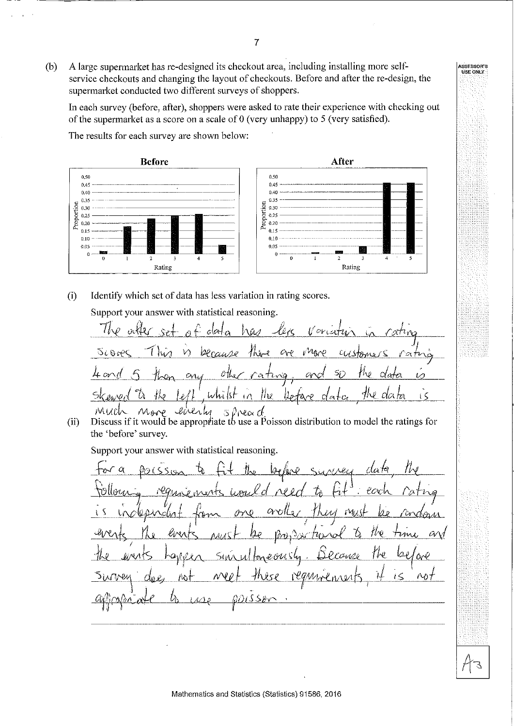A large supermarket has re-designed its checkout area, including installing more self- $(b)$ service checkouts and changing the layout of checkouts. Before and after the re-design, the supermarket conducted two different surveys of shoppers.

In each survey (before, after), shoppers were asked to rate their experience with checking out of the supermarket as a score on a scale of 0 (very unhappy) to 5 (very satisfied).

The results for each survey are shown below:



 $(i)$ Identify which set of data has less variation in rating scores.

Support your answer with statistical reasoning.

Discuss if it would be appropriate to use a Poisson distribution to model the ratings for  $(ii)$ the 'before' survey.

Support your answer with statistical reasoning.

data O, l, SLW